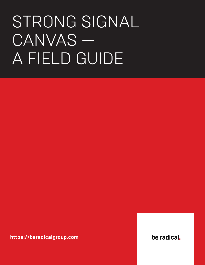# <span id="page-0-0"></span>STRONG SIGNAL CANVAS -A FIELD GUIDE

https://beradicalgroup.com

be radical.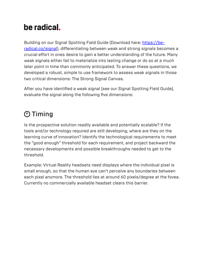## be radical.

Building on our Signal Spotting Field Guide (Download here: [https://be](#page-0-0)[radical.co/signal](#page-0-0)), differentiating between weak and strong signals becomes a crucial effort in ones desire to gain a better understanding of the future. Many weak signals either fail to materialize into lasting change or do so at a much later point in time than commonly anticipated. To answer these questions, we developed a robust, simple to use framework to assess weak signals in those two critical dimensions: The Strong Signal Canvas.

After you have identified a weak signal (see our Signal Spotting Field Guide), evaluate the signal along the following five dimensions:

#### Timing

Is the prospective solution readily available and potentially scalable? If the tools and/or technology required are still developing, where are they on the learning curve of innovation? Identify the technological requirements to meet the "good enough" threshold for each requirement, and project backward the necessary developments and possible breakthroughs needed to get to the threshold.

Example: Virtual Reality headsets need displays where the individual pixel is small enough, so that the human eye can't perceive any boundaries between each pixel anymore. The threshold lies at around 60 pixels/degree at the fovea. Currently no commercially available headset clears this barrier.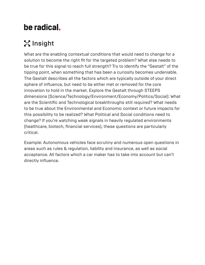## be radical.

## **22 Insight**

What are the enabling contextual conditions that would need to change for a solution to become the right fit for the targeted problem? What else needs to be true for this signal to reach full strength? Try to identify the "Gestalt" of the tipping point, when something that has been a curiosity becomes undeniable. The Gestalt describes all the factors which are typically outside of your direct sphere of influence, but need to be either met or removed for the core innovation to hold in the market. Explore the Gestalt through STEEPS dimensions (Science/Technology/Environment/Economy/Politics/Social): What are the Scientific and Technological breakthroughs still required? What needs to be true about the Environmental and Economic context or future impacts for this possibility to be realized? What Political and Social conditions need to change? If you're watching weak signals in heavily regulated environments (healthcare, biotech, financial services), these questions are particularly critical.

Example: Autonomous vehicles face scrutiny and numerous open questions in areas such as rules & regulation, liability and insurance, as well as social acceptance. All factors which a car maker has to take into account but can't directly influence.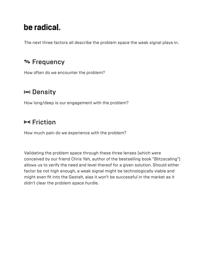#### be radical.

The next three factors all describe the problem space the weak signal plays in.

#### **≒ Frequency**

How often do we encounter the problem?

#### I<sup>el</sup> Density

How long/deep is our engagement with the problem?

#### **HH Friction**

How much pain do we experience with the problem?

Validating the problem space through these three lenses (which were conceived by our friend Chris Yeh, author of the bestselling book "Blitzscaling") allows us to verify the need and level thereof for a given solution. Should either factor be not high enough, a weak signal might be technologically viable and might even fit into the Gestalt, alas it won't be successful in the market as it didn't clear the problem space hurdle.